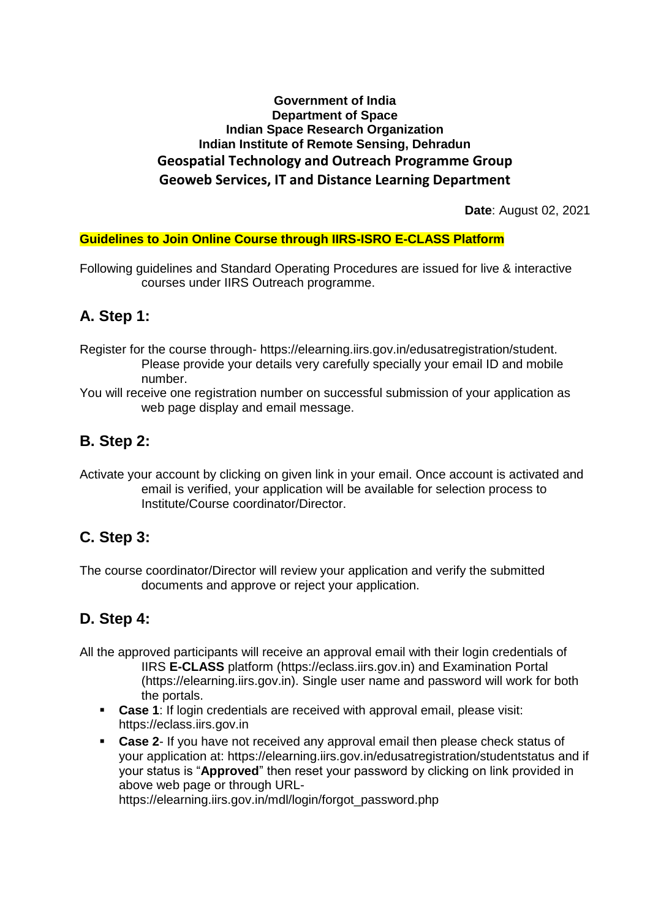#### **Government of India Department of Space Indian Space Research Organization Indian Institute of Remote Sensing, Dehradun Geospatial Technology and Outreach Programme Group Geoweb Services, IT and Distance Learning Department**

**Date**: August 02, 2021

#### **Guidelines to Join Online Course through IIRS-ISRO E-CLASS Platform**

Following guidelines and Standard Operating Procedures are issued for live & interactive courses under IIRS Outreach programme.

### **A. Step 1:**

- Register for the course through- https://elearning.iirs.gov.in/edusatregistration/student. Please provide your details very carefully specially your email ID and mobile number.
- You will receive one registration number on successful submission of your application as web page display and email message.

### **B. Step 2:**

Activate your account by clicking on given link in your email. Once account is activated and email is verified, your application will be available for selection process to Institute/Course coordinator/Director.

## **C. Step 3:**

The course coordinator/Director will review your application and verify the submitted documents and approve or reject your application.

## **D. Step 4:**

- All the approved participants will receive an approval email with their login credentials of IIRS **E-CLASS** platform (https://eclass.iirs.gov.in) and Examination Portal (https://elearning.iirs.gov.in). Single user name and password will work for both the portals.
	- **Case 1**: If login credentials are received with approval email, please visit: https://eclass.iirs.gov.in
	- **Case 2-** If you have not received any approval email then please check status of your application at: https://elearning.iirs.gov.in/edusatregistration/studentstatus and if your status is "**Approved**" then reset your password by clicking on link provided in above web page or through URL-

https://elearning.iirs.gov.in/mdl/login/forgot\_password.php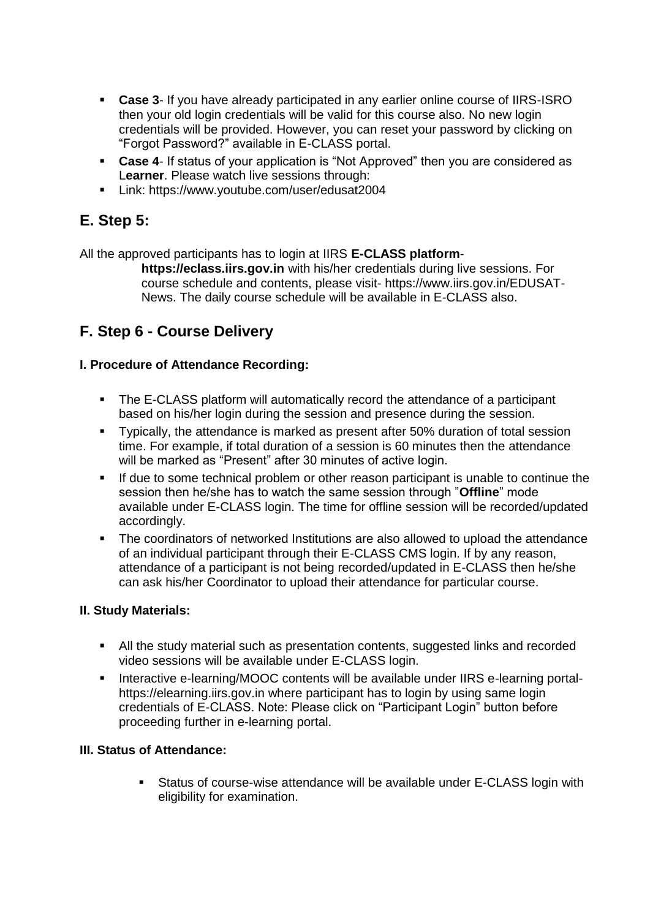- **Case 3** If you have already participated in any earlier online course of IIRS-ISRO then your old login credentials will be valid for this course also. No new login credentials will be provided. However, you can reset your password by clicking on "Forgot Password?" available in E-CLASS portal.
- **Case 4-** If status of your application is "Not Approved" then you are considered as L**earner**. Please watch live sessions through:
- **Link: https://www.youtube.com/user/edusat2004**

# **E. Step 5:**

All the approved participants has to login at IIRS **E-CLASS platform**-

**https://eclass.iirs.gov.in** with his/her credentials during live sessions. For course schedule and contents, please visit- https://www.iirs.gov.in/EDUSAT-News. The daily course schedule will be available in E-CLASS also.

## **F. Step 6 - Course Delivery**

#### **I. Procedure of Attendance Recording:**

- The E-CLASS platform will automatically record the attendance of a participant based on his/her login during the session and presence during the session.
- Typically, the attendance is marked as present after 50% duration of total session time. For example, if total duration of a session is 60 minutes then the attendance will be marked as "Present" after 30 minutes of active login.
- If due to some technical problem or other reason participant is unable to continue the session then he/she has to watch the same session through "**Offline**" mode available under E-CLASS login. The time for offline session will be recorded/updated accordingly.
- The coordinators of networked Institutions are also allowed to upload the attendance of an individual participant through their E-CLASS CMS login. If by any reason, attendance of a participant is not being recorded/updated in E-CLASS then he/she can ask his/her Coordinator to upload their attendance for particular course.

#### **II. Study Materials:**

- All the study material such as presentation contents, suggested links and recorded video sessions will be available under E-CLASS login.
- Interactive e-learning/MOOC contents will be available under IIRS e-learning portalhttps://elearning.iirs.gov.in where participant has to login by using same login credentials of E-CLASS. Note: Please click on "Participant Login" button before proceeding further in e-learning portal.

#### **III. Status of Attendance:**

 Status of course-wise attendance will be available under E-CLASS login with eligibility for examination.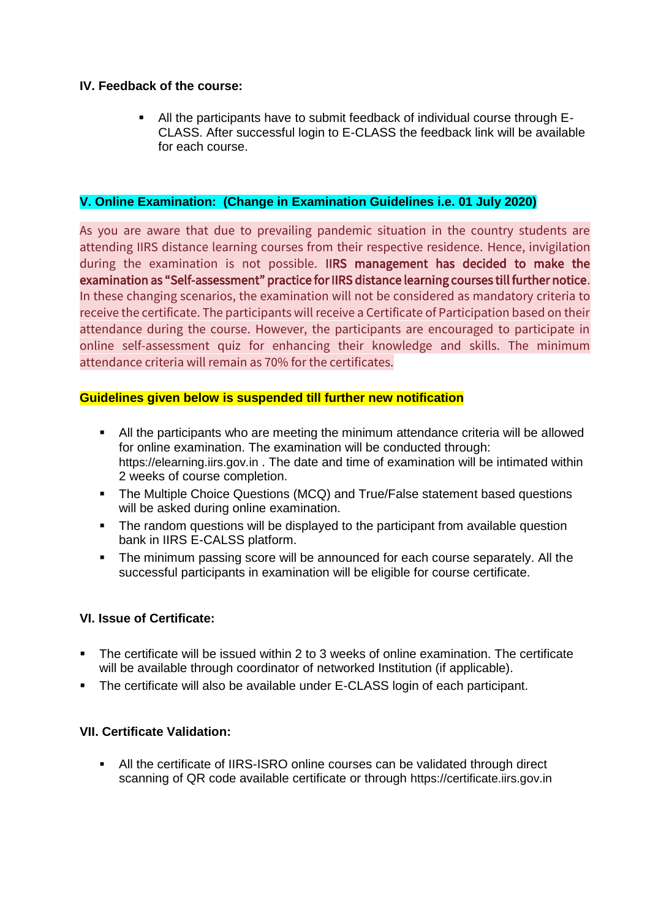#### **IV. Feedback of the course:**

 All the participants have to submit feedback of individual course through E-CLASS. After successful login to E-CLASS the feedback link will be available for each course.

#### **V. Online Examination: (Change in Examination Guidelines i.e. 01 July 2020)**

As you are aware that due to prevailing pandemic situation in the country students are attending IIRS distance learning courses from their respective residence. Hence, invigilation during the examination is not possible. IIRS management has decided to make the examination as "Self-assessment" practice for IIRS distance learning courses till further notice. In these changing scenarios, the examination will not be considered as mandatory criteria to receive the certificate. The participants will receive a Certificate of Participation based on their attendance during the course. However, the participants are encouraged to participate in online self-assessment quiz for enhancing their knowledge and skills. The minimum attendance criteria will remain as 70% for the certificates.

#### **Guidelines given below is suspended till further new notification**

- All the participants who are meeting the minimum attendance criteria will be allowed for online examination. The examination will be conducted through: https://elearning.iirs.gov.in . The date and time of examination will be intimated within 2 weeks of course completion.
- The Multiple Choice Questions (MCQ) and True/False statement based questions will be asked during online examination.
- The random questions will be displayed to the participant from available question bank in IIRS E-CALSS platform.
- The minimum passing score will be announced for each course separately. All the successful participants in examination will be eligible for course certificate.

#### **VI. Issue of Certificate:**

- The certificate will be issued within 2 to 3 weeks of online examination. The certificate will be available through coordinator of networked Institution (if applicable).
- The certificate will also be available under E-CLASS login of each participant.

#### **VII. Certificate Validation:**

 All the certificate of IIRS-ISRO online courses can be validated through direct scanning of QR code available certificate or through https://certificate.iirs.gov.in